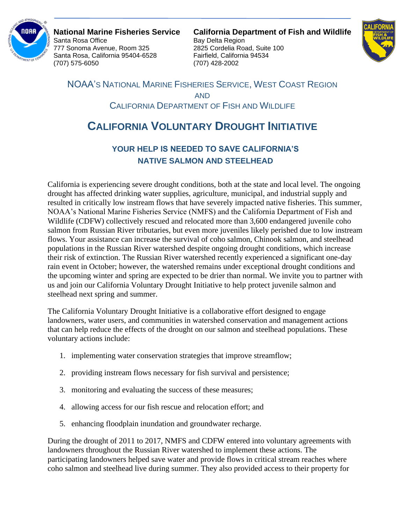

777 Sonoma Avenue, Room 325 2825 Cordelia Road, Suite 100 Santa Rosa, California 95404-6528 Fairfield, California 94534 (707) 575-6050 (707) 428-2002

**National Marine Fisheries Service California Department of Fish and Wildlife** Bay Delta Region



NOAA'S NATIONAL MARINE FISHERIES SERVICE, WEST COAST REGION AND CALIFORNIA DEPARTMENT OF FISH AND WILDLIFE

## **CALIFORNIA VOLUNTARY DROUGHT INITIATIVE**

## **YOUR HELP IS NEEDED TO SAVE CALIFORNIA'S NATIVE SALMON AND STEELHEAD**

California is experiencing severe drought conditions, both at the state and local level. The ongoing drought has affected drinking water supplies, agriculture, municipal, and industrial supply and resulted in critically low instream flows that have severely impacted native fisheries. This summer, NOAA's National Marine Fisheries Service (NMFS) and the California Department of Fish and Wildlife (CDFW) collectively rescued and relocated more than 3,600 endangered juvenile coho salmon from Russian River tributaries, but even more juveniles likely perished due to low instream flows. Your assistance can increase the survival of coho salmon, Chinook salmon, and steelhead populations in the Russian River watershed despite ongoing drought conditions, which increase their risk of extinction. The Russian River watershed recently experienced a significant one-day rain event in October; however, the watershed remains under exceptional drought conditions and the upcoming winter and spring are expected to be drier than normal. We invite you to partner with us and join our California Voluntary Drought Initiative to help protect juvenile salmon and steelhead next spring and summer.

The California Voluntary Drought Initiative is a collaborative effort designed to engage landowners, water users, and communities in watershed conservation and management actions that can help reduce the effects of the drought on our salmon and steelhead populations. These voluntary actions include:

- 1. implementing water conservation strategies that improve streamflow;
- 2. providing instream flows necessary for fish survival and persistence;
- 3. monitoring and evaluating the success of these measures;
- 4. allowing access for our fish rescue and relocation effort; and
- 5. enhancing floodplain inundation and groundwater recharge.

During the drought of 2011 to 2017, NMFS and CDFW entered into voluntary agreements with landowners throughout the Russian River watershed to implement these actions. The participating landowners helped save water and provide flows in critical stream reaches where coho salmon and steelhead live during summer. They also provided access to their property for